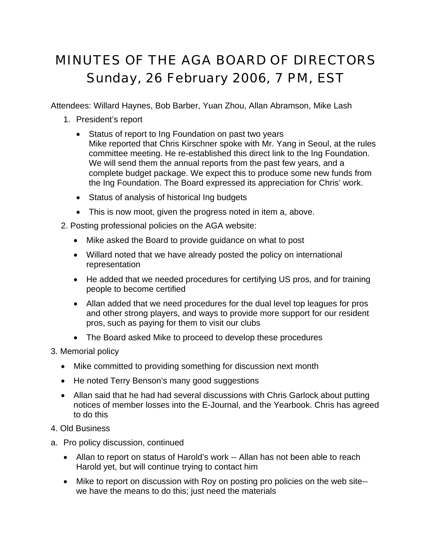## MINUTES OF THE AGA BOARD OF DIRECTORS Sunday, 26 February 2006, 7 PM, EST

Attendees: Willard Haynes, Bob Barber, Yuan Zhou, Allan Abramson, Mike Lash

- 1. President's report
	- Status of report to Ing Foundation on past two years Mike reported that Chris Kirschner spoke with Mr. Yang in Seoul, at the rules committee meeting. He re-established this direct link to the Ing Foundation. We will send them the annual reports from the past few years, and a complete budget package. We expect this to produce some new funds from the Ing Foundation. The Board expressed its appreciation for Chris' work.
	- Status of analysis of historical Ing budgets
	- This is now moot, given the progress noted in item a, above.
- 2. Posting professional policies on the AGA website:
	- Mike asked the Board to provide guidance on what to post
	- Willard noted that we have already posted the policy on international representation
	- He added that we needed procedures for certifying US pros, and for training people to become certified
	- Allan added that we need procedures for the dual level top leagues for pros and other strong players, and ways to provide more support for our resident pros, such as paying for them to visit our clubs
	- The Board asked Mike to proceed to develop these procedures
- 3. Memorial policy
	- Mike committed to providing something for discussion next month
	- He noted Terry Benson's many good suggestions
	- Allan said that he had had several discussions with Chris Garlock about putting notices of member losses into the E-Journal, and the Yearbook. Chris has agreed to do this
- 4. Old Business
- a. Pro policy discussion, continued
	- Allan to report on status of Harold's work -- Allan has not been able to reach Harold yet, but will continue trying to contact him
	- Mike to report on discussion with Roy on posting pro policies on the web site- we have the means to do this; just need the materials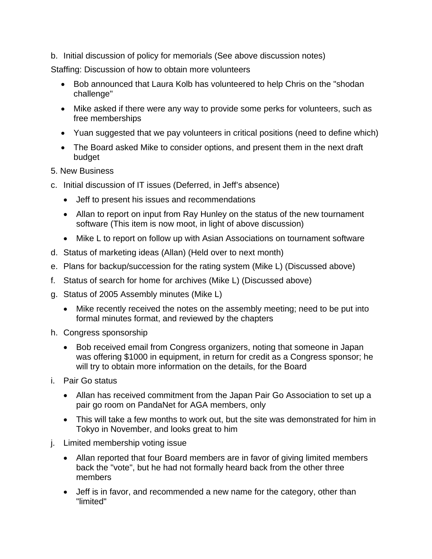b. Initial discussion of policy for memorials (See above discussion notes)

Staffing: Discussion of how to obtain more volunteers

- Bob announced that Laura Kolb has volunteered to help Chris on the "shodan challenge"
- Mike asked if there were any way to provide some perks for volunteers, such as free memberships
- Yuan suggested that we pay volunteers in critical positions (need to define which)
- The Board asked Mike to consider options, and present them in the next draft budget
- 5. New Business
- c. Initial discussion of IT issues (Deferred, in Jeff's absence)
	- Jeff to present his issues and recommendations
	- Allan to report on input from Ray Hunley on the status of the new tournament software (This item is now moot, in light of above discussion)
	- Mike L to report on follow up with Asian Associations on tournament software
- d. Status of marketing ideas (Allan) (Held over to next month)
- e. Plans for backup/succession for the rating system (Mike L) (Discussed above)
- f. Status of search for home for archives (Mike L) (Discussed above)
- g. Status of 2005 Assembly minutes (Mike L)
	- Mike recently received the notes on the assembly meeting; need to be put into formal minutes format, and reviewed by the chapters
- h. Congress sponsorship
	- Bob received email from Congress organizers, noting that someone in Japan was offering \$1000 in equipment, in return for credit as a Congress sponsor; he will try to obtain more information on the details, for the Board
- i. Pair Go status
	- Allan has received commitment from the Japan Pair Go Association to set up a pair go room on PandaNet for AGA members, only
	- This will take a few months to work out, but the site was demonstrated for him in Tokyo in November, and looks great to him
- j. Limited membership voting issue
	- Allan reported that four Board members are in favor of giving limited members back the "vote", but he had not formally heard back from the other three members
	- Jeff is in favor, and recommended a new name for the category, other than "limited"